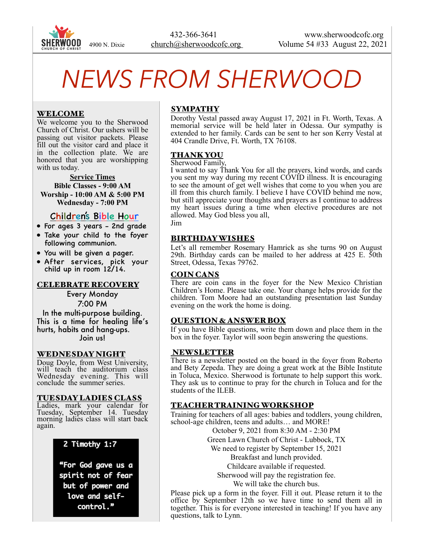

# *NEWS FROM SHERWOOD*

# WELCOME

We welcome you to the Sherwood Church of Christ. Our ushers will be passing out visitor packets. Please fill out the visitor card and place it in the collection plate. We are honored that you are worshipping with us today.

**Service Times Bible Classes - 9:00 AM Worship - 10:00 AM & 5:00 PM Wednesday - 7:00 PM** 

# Children's Bible Hour

- For ages 3 years 2nd grade
- Take your child to the foyer following communion.
- You will be given a pager.
- After services, pick your child up in room 12/14.

#### CELEBRATE RECOVERY

Every Monday 7:00 PM In the multi-purpose building. This is a time for healing life's hurts, habits and hang-ups. Join us!

#### WEDNESDAY NIGHT

Doug Doyle, from West University, will teach the auditorium class Wednesday evening. This will conclude the summer series.

#### TUESDAY LADIES CLASS

Ladies, mark your calendar for Tuesday, September 14. Tuesday morning ladies class will start back again.

#### 2 Timothy 1:7

"For God gave us a spirit not of fear but of power and love and selfcontrol."

# SYMPATHY

Dorothy Vestal passed away August 17, 2021 in Ft. Worth, Texas. A memorial service will be held later in Odessa. Our sympathy is extended to her family. Cards can be sent to her son Kerry Vestal at 404 Crandle Drive, Ft. Worth, TX 76108.

#### THANK YOU

Sherwood Family,

I wanted to say Thank You for all the prayers, kind words, and cards you sent my way during my recent COVID illness. It is encouraging to see the amount of get well wishes that come to you when you are ill from this church family. I believe I have COVID behind me now, but still appreciate your thoughts and prayers as I continue to address my heart issues during a time when elective procedures are not allowed. May God bless you all,

## Jim

#### BIRTHDAY WISHES

Let's all remember Rosemary Hamrick as she turns 90 on August 29th. Birthday cards can be mailed to her address at 425 E. 50th Street, Odessa, Texas 79762.

#### COIN CANS

There are coin cans in the foyer for the New Mexico Christian Children's Home. Please take one. Your change helps provide for the children. Tom Moore had an outstanding presentation last Sunday evening on the work the home is doing.

#### QUESTION & ANSWER BOX

If you have Bible questions, write them down and place them in the box in the foyer. Taylor will soon begin answering the questions.

#### NEWSLETTER

There is a newsletter posted on the board in the foyer from Roberto and Bety Zepeda. They are doing a great work at the Bible Institute in Toluca, Mexico. Sherwood is fortunate to help support this work. They ask us to continue to pray for the church in Toluca and for the students of the ILEB.

## TEACHER TRAINING WORKSHOP

Training for teachers of all ages: babies and toddlers, young children, school-age children, teens and adults… and MORE!

October 9, 2021 from 8:30 AM - 2:30 PM

Green Lawn Church of Christ - Lubbock, TX

We need to register by September 15, 2021 Breakfast and lunch provided.

Childcare available if requested.

Sherwood will pay the registration fee.

We will take the church bus.

Please pick up a form in the foyer. Fill it out. Please return it to the office by September 12th so we have time to send them all in together. This is for everyone interested in teaching! If you have any questions, talk to Lynn.